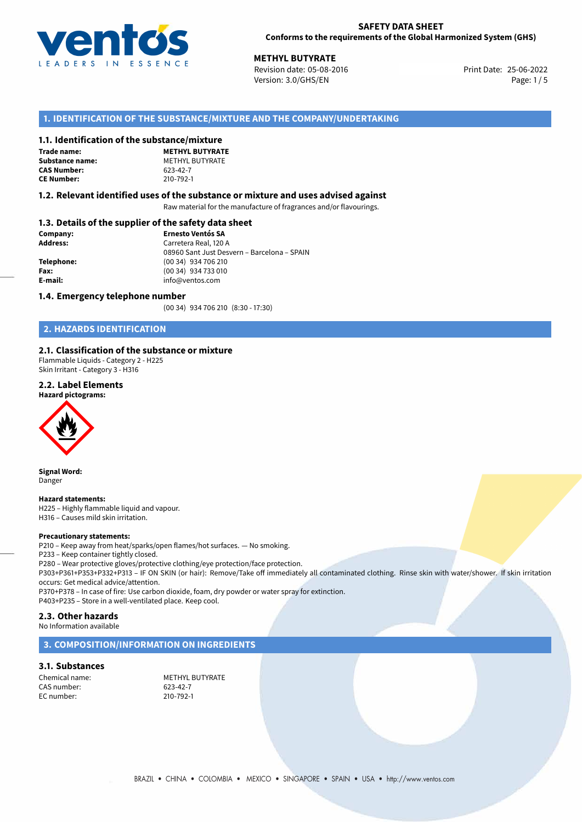

## **SAFETY DATA SHEET Conforms to the requirements of the Global Harmonized System (GHS)**

25-06-2022 **METHYL BUTYRATE** Revision date: 05-08-2016 Print Date: Version: 3.0/GHS/EN Page: 1/5

## **1. IDENTIFICATION OF THE SUBSTANCE/MIXTURE AND THE COMPANY/UNDERTAKING**

## **1.1. Identification of the substance/mixture**

**Trade name: CAS Number: CE Number:** 210-792-1

**METHYL BUTYRATE Substance name:** METHYL BUTYRATE<br> **CAS Number:** 623-42-7

## **1.2. Relevant identified uses of the substance or mixture and uses advised against**

Raw material for the manufacture of fragrances and/or flavourings.

## **1.3. Details of the supplier of the safety data sheet**

| Company:        | <b>Ernesto Ventós SA</b>                    |  |
|-----------------|---------------------------------------------|--|
| <b>Address:</b> | Carretera Real, 120 A                       |  |
|                 | 08960 Sant Just Desvern - Barcelona - SPAIN |  |
| Telephone:      | (00 34) 934 706 210                         |  |
| Fax:            | (00 34) 934 733 010                         |  |
| E-mail:         | info@ventos.com                             |  |
|                 |                                             |  |

## **1.4. Emergency telephone number**

(00 34) 934 706 210 (8:30 - 17:30)

## **2. HAZARDS IDENTIFICATION**

## **2.1. Classification of the substance or mixture**

Flammable Liquids - Category 2 - H225 Skin Irritant - Category 3 - H316

## **2.2. Label Elements**





**Signal Word:** Danger

**Hazard statements:** H225 – Highly flammable liquid and vapour. H316 – Causes mild skin irritation.

### **Precautionary statements:**

P210 – Keep away from heat/sparks/open flames/hot surfaces. — No smoking.

P233 – Keep container tightly closed.

P280 – Wear protective gloves/protective clothing/eye protection/face protection.

P303+P361+P353+P332+P313 – IF ON SKIN (or hair): Remove/Take off immediately all contaminated clothing. Rinse skin with water/shower. If skin irritation occurs: Get medical advice/attention.

P370+P378 – In case of fire: Use carbon dioxide, foam, dry powder or water spray for extinction. P403+P235 – Store in a well-ventilated place. Keep cool.

## **2.3. Other hazards**

No Information available

## **3. COMPOSITION/INFORMATION ON INGREDIENTS**

## **3.1. Substances**

CAS number: EC number: 210-792-1

Chemical name:<br>
CAS number:<br>
CAS number:<br>
CAS number:<br>
CAS number: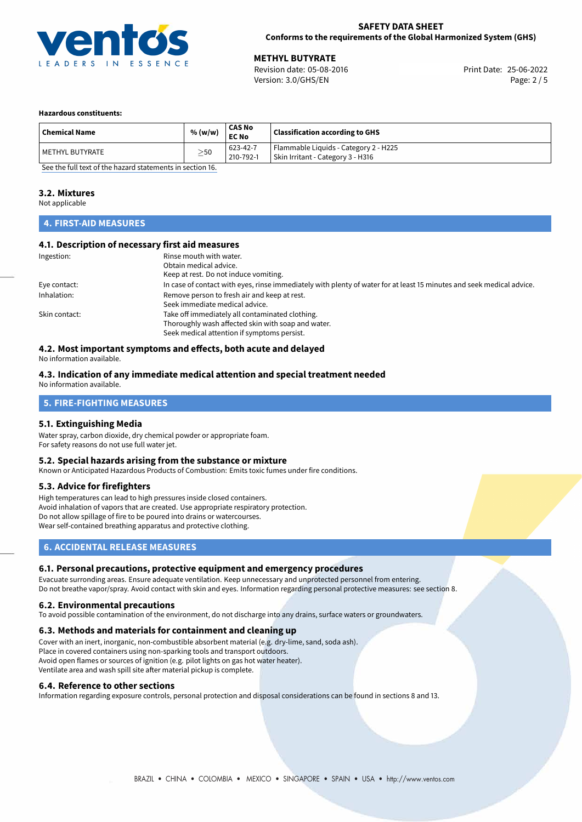

**METHYL BUTYRATE**<br>
Revision date: 05-08-2016 **Print Date: 25-06-2022** Version: 3.0/GHS/EN Page: 2 / 5

## **Hazardous constituents:**

| Flammable Liquids - Category 2 - H225<br>623-42-7                                |  |
|----------------------------------------------------------------------------------|--|
| $\geq$ 50<br>  METHYL BUTYRATE<br>Skin Irritant - Category 3 - H316<br>210-792-1 |  |

[See the full text of the hazard statements in section 16.](#page-4-0)

## **3.2. Mixtures**

Not applicable

## **4. FIRST-AID MEASURES**

## **4.1. Description of necessary first aid measures**

| Ingestion:    | Rinse mouth with water.<br>Obtain medical advice.<br>Keep at rest. Do not induce vomiting.                                                           |
|---------------|------------------------------------------------------------------------------------------------------------------------------------------------------|
| Eye contact:  | In case of contact with eyes, rinse immediately with plenty of water for at least 15 minutes and seek medical advice.                                |
| Inhalation:   | Remove person to fresh air and keep at rest.<br>Seek immediate medical advice.                                                                       |
| Skin contact: | Take off immediately all contaminated clothing.<br>Thoroughly wash affected skin with soap and water.<br>Seek medical attention if symptoms persist. |

## **4.2. Most important symptoms and effects, both acute and delayed**

No information available.

#### **4.3. Indication of any immediate medical attention and special treatment needed** No information available.

# **5. FIRE-FIGHTING MEASURES**

## **5.1. Extinguishing Media**

Water spray, carbon dioxide, dry chemical powder or appropriate foam. For safety reasons do not use full water jet.

## **5.2. Special hazards arising from the substance or mixture**

Known or Anticipated Hazardous Products of Combustion: Emits toxic fumes under fire conditions.

## **5.3. Advice for firefighters**

High temperatures can lead to high pressures inside closed containers. Avoid inhalation of vapors that are created. Use appropriate respiratory protection. Do not allow spillage of fire to be poured into drains or watercourses. Wear self-contained breathing apparatus and protective clothing.

## **6. ACCIDENTAL RELEASE MEASURES**

## **6.1. Personal precautions, protective equipment and emergency procedures**

Evacuate surronding areas. Ensure adequate ventilation. Keep unnecessary and unprotected personnel from entering. Do not breathe vapor/spray. Avoid contact with skin and eyes. Information regarding personal protective measures: see section 8.

### **6.2. Environmental precautions**

To avoid possible contamination of the environment, do not discharge into any drains, surface waters or groundwaters.

## **6.3. Methods and materials for containment and cleaning up**

Cover with an inert, inorganic, non-combustible absorbent material (e.g. dry-lime, sand, soda ash). Place in covered containers using non-sparking tools and transport outdoors. Avoid open flames or sources of ignition (e.g. pilot lights on gas hot water heater). Ventilate area and wash spill site after material pickup is complete.

### **6.4. Reference to other sections**

Information regarding exposure controls, personal protection and disposal considerations can be found in sections 8 and 13.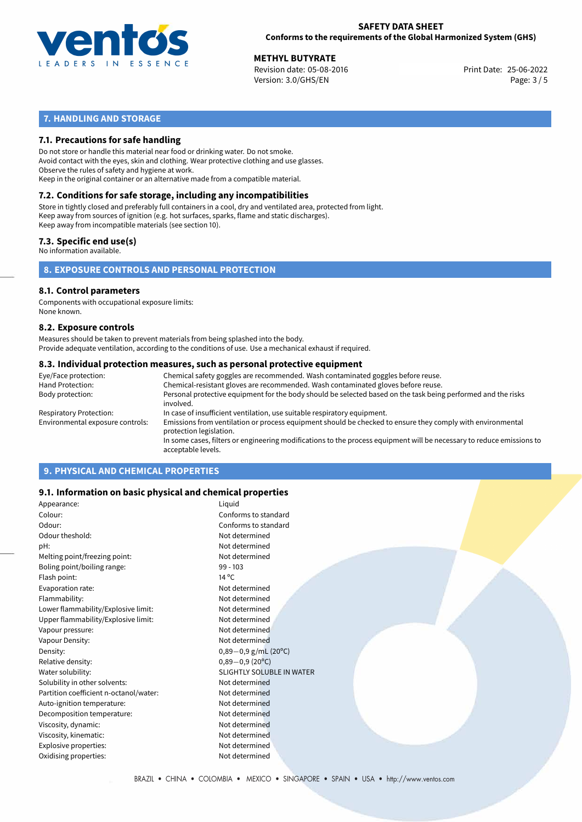

## **SAFETY DATA SHEET Conforms to the requirements of the Global Harmonized System (GHS)**

**METHYL BUTYRATE**<br>
Revision date: 05-08-2016 **Print Date: 25-06-2022** Version: 3.0/GHS/EN Page: 3 / 5

## **7. HANDLING AND STORAGE**

## **7.1. Precautions for safe handling**

Do not store or handle this material near food or drinking water. Do not smoke. Avoid contact with the eyes, skin and clothing. Wear protective clothing and use glasses. Observe the rules of safety and hygiene at work. Keep in the original container or an alternative made from a compatible material.

# **7.2. Conditions for safe storage, including any incompatibilities**

Store in tightly closed and preferably full containers in a cool, dry and ventilated area, protected from light. Keep away from sources of ignition (e.g. hot surfaces, sparks, flame and static discharges). Keep away from incompatible materials (see section 10).

## **7.3. Specific end use(s)**

No information available.

**8. EXPOSURE CONTROLS AND PERSONAL PROTECTION**

## **8.1. Control parameters**

Components with occupational exposure limits: None known.

### **8.2. Exposure controls**

Measures should be taken to prevent materials from being splashed into the body. Provide adequate ventilation, according to the conditions of use. Use a mechanical exhaust if required.

## **8.3. Individual protection measures, such as personal protective equipment**

| Eye/Face protection:             | Chemical safety goggles are recommended. Wash contaminated goggles before reuse.                                                            |  |  |  |  |
|----------------------------------|---------------------------------------------------------------------------------------------------------------------------------------------|--|--|--|--|
| Hand Protection:                 | Chemical-resistant gloves are recommended. Wash contaminated gloves before reuse.                                                           |  |  |  |  |
| Body protection:                 | Personal protective equipment for the body should be selected based on the task being performed and the risks<br>involved.                  |  |  |  |  |
| Respiratory Protection:          | In case of insufficient ventilation, use suitable respiratory equipment.                                                                    |  |  |  |  |
| Environmental exposure controls: | Emissions from ventilation or process equipment should be checked to ensure they comply with environmental<br>protection legislation.       |  |  |  |  |
|                                  | In some cases, filters or engineering modifications to the process equipment will be necessary to reduce emissions to<br>acceptable levels. |  |  |  |  |
|                                  |                                                                                                                                             |  |  |  |  |

## **9. PHYSICAL AND CHEMICAL PROPERTIES**

## **9.1. Information on basic physical and chemical properties**

| Appearance:                            | Liguid                           |
|----------------------------------------|----------------------------------|
| Colour:                                | Conforms to standard             |
| Odour:                                 | Conforms to standard             |
| Odour theshold:                        | Not determined                   |
| pH:                                    | Not determined                   |
| Melting point/freezing point:          | Not determined                   |
| Boling point/boiling range:            | $99 - 103$                       |
| Flash point:                           | $14^{\circ}$ C                   |
| Evaporation rate:                      | Not determined                   |
| Flammability:                          | Not determined                   |
| Lower flammability/Explosive limit:    | Not determined                   |
| Upper flammability/Explosive limit:    | Not determined                   |
| Vapour pressure:                       | Not determined                   |
| Vapour Density:                        | Not determined                   |
| Density:                               | $0,89-0,9$ g/mL (20°C)           |
| Relative density:                      | $0,89-0,9(20°C)$                 |
| Water solubility:                      | <b>SLIGHTLY SOLUBLE IN WATER</b> |
| Solubility in other solvents:          | Not determined                   |
| Partition coefficient n-octanol/water: | Not determined                   |
| Auto-ignition temperature:             | Not determined                   |
| Decomposition temperature:             | Not determined                   |
| Viscosity, dynamic:                    | Not determined                   |
| Viscosity, kinematic:                  | Not determined                   |
| Explosive properties:                  | Not determined                   |
| Oxidising properties:                  | Not determined                   |
|                                        |                                  |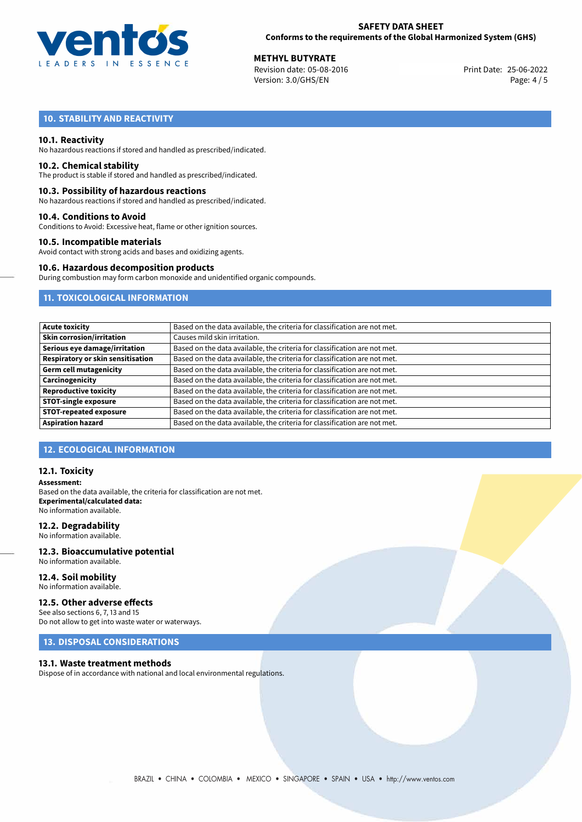

**METHYL BUTYRATE**<br>
Revision date: 05-08-2016 **Print Date: 25-06-2022** Version: 3.0/GHS/EN Page: 4 / 5

## **10. STABILITY AND REACTIVITY**

## **10.1. Reactivity**

No hazardous reactions if stored and handled as prescribed/indicated.

### **10.2. Chemical stability**

The product is stable if stored and handled as prescribed/indicated.

## **10.3. Possibility of hazardous reactions**

No hazardous reactions if stored and handled as prescribed/indicated.

### **10.4. Conditions to Avoid**

Conditions to Avoid: Excessive heat, flame or other ignition sources.

## **10.5. Incompatible materials**

Avoid contact with strong acids and bases and oxidizing agents.

### **10.6. Hazardous decomposition products**

During combustion may form carbon monoxide and unidentified organic compounds.

## **11. TOXICOLOGICAL INFORMATION**

| <b>Acute toxicity</b>             | Based on the data available, the criteria for classification are not met. |
|-----------------------------------|---------------------------------------------------------------------------|
| Skin corrosion/irritation         | Causes mild skin irritation.                                              |
| Serious eye damage/irritation     | Based on the data available, the criteria for classification are not met. |
| Respiratory or skin sensitisation | Based on the data available, the criteria for classification are not met. |
| Germ cell mutagenicity            | Based on the data available, the criteria for classification are not met. |
| Carcinogenicity                   | Based on the data available, the criteria for classification are not met. |
| <b>Reproductive toxicity</b>      | Based on the data available, the criteria for classification are not met. |
| <b>STOT-single exposure</b>       | Based on the data available, the criteria for classification are not met. |
| <b>STOT-repeated exposure</b>     | Based on the data available, the criteria for classification are not met. |
| <b>Aspiration hazard</b>          | Based on the data available, the criteria for classification are not met. |

## **12. ECOLOGICAL INFORMATION**

## **12.1. Toxicity**

**Assessment:** Based on the data available, the criteria for classification are not met. **Experimental/calculated data:** No information available.

## **12.2. Degradability**

No information available.

#### **12.3. Bioaccumulative potential** No information available.

**12.4. Soil mobility**

## No information available.

## **12.5. Other adverse effects**

See also sections 6, 7, 13 and 15 Do not allow to get into waste water or waterways.

## **13. DISPOSAL CONSIDERATIONS**

## **13.1. Waste treatment methods**

Dispose of in accordance with national and local environmental regulations.